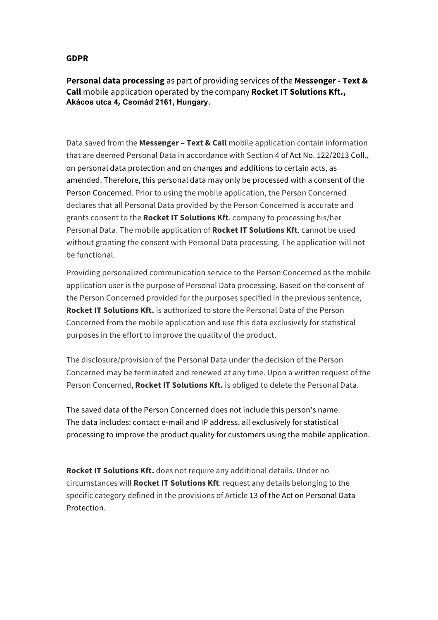## **GDPR**

**Personal data processing** as part of providing services of the **Messenger - Text & Call** mobile application operated by the company **Rocket IT Solutions Kft., Akácos utca 4, Csomád 2161, Hungary.**

Data saved from the **Messenger – Text & Call** mobile application contain information that are deemed Personal Data in accordance with Section 4 of Act No. 122/2013 Coll., on personal data protection and on changes and additions to certain acts, as amended. Therefore, this personal data may only be processed with a consent of the Person Concerned. Prior to using the mobile application, the Person Concerned declares that all Personal Data provided by the Person Concerned is accurate and grants consent to the **Rocket IT Solutions Kft**. company to processing his/her Personal Data. The mobile application of **Rocket IT Solutions Kft**. cannot be used without granting the consent with Personal Data processing. The application will not be functional.

Providing personalized communication service to the Person Concerned as the mobile application user is the purpose of Personal Data processing. Based on the consent of the Person Concerned provided for the purposes specified in the previous sentence, **Rocket IT Solutions Kft.** is authorized to store the Personal Data of the Person Concerned from the mobile application and use this data exclusively for statistical purposes in the effort to improve the quality of the product.

The disclosure/provision of the Personal Data under the decision of the Person Concerned may be terminated and renewed at any time. Upon a written request of the Person Concerned, **Rocket IT Solutions Kft.** is obliged to delete the Personal Data.

The saved data of the Person Concerned does not include this person's name. The data includes: contact e-mail and IP address, all exclusively for statistical processing to improve the product quality for customers using the mobile application.

**Rocket IT Solutions Kft.** does not require any additional details. Under no circumstances will **Rocket IT Solutions Kft**. request any details belonging to the specific category defined in the provisions of Article 13 of the Act on Personal Data Protection.